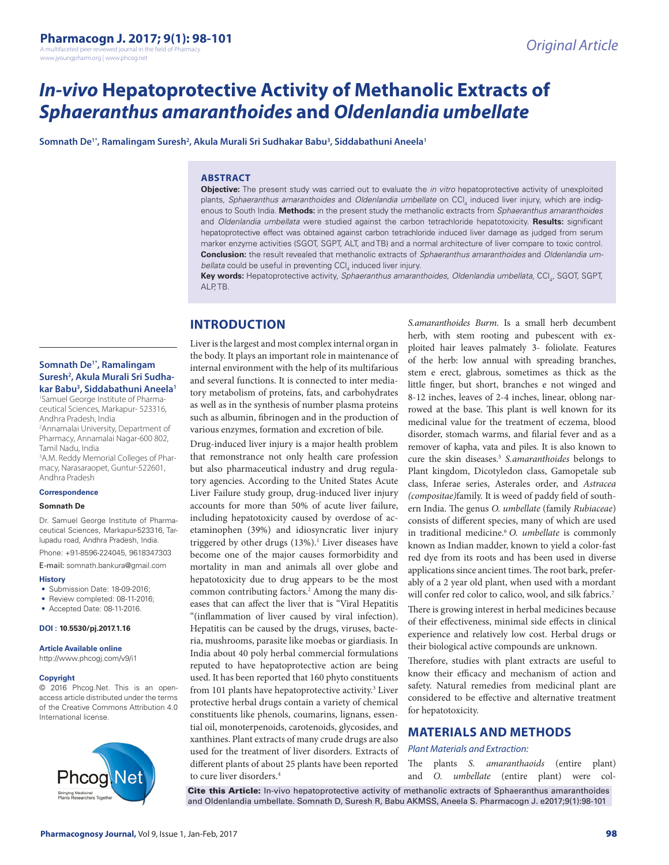# *In-vivo* **Hepatoprotective Activity of Methanolic Extracts of**  *Sphaeranthus amaranthoides* **and** *Oldenlandia umbellate*

 $\mathsf{Somnath}\,\mathsf{De}^{\mathsf{1}*},\mathsf{Ramalingam}\,\mathsf{Suresh}^2$ , Akula Murali Sri Sudhakar Babu $^{\mathsf{3}}$ , Siddabathuni Aneela'

## **ABSTRACT**

**Objective:** The present study was carried out to evaluate the *in vitro* hepatoprotective activity of unexploited plants, *Sphaeranthus amaranthoides* and *Oldenlandia umbellate* on CCl<sub>4</sub> induced liver injury, which are indigenous to South India. **Methods:** in the present study the methanolic extracts from *Sphaeranthus amaranthoides* and *Oldenlandia umbellata* were studied against the carbon tetrachloride hepatotoxicity. **Results:** significant hepatoprotective effect was obtained against carbon tetrachloride induced liver damage as judged from serum marker enzyme activities (SGOT, SGPT, ALT, and TB) and a normal architecture of liver compare to toxic control. **Conclusion:** the result revealed that methanolic extracts of *Sphaeranthus amaranthoides* and *Oldenlandia um*bellata could be useful in preventing CCI<sub>4</sub> induced liver injury.

**Key words:** Hepatoprotective activity, *Sphaeranthus amaranthoides*, *Oldenlandia umbellata*, CCl4 , SGOT, SGPT, ALP<sub>TB</sub>

# **INTRODUCTION**

## **Somnath De1\*, Ramalingam Suresh2 , Akula Murali Sri Sudhakar Babu3 , Siddabathuni Aneela1**

1 Samuel George Institute of Pharmaceutical Sciences, Markapur- 523316, Andhra Pradesh, India

2 Annamalai University, Department of Pharmacy, Annamalai Nagar-600 802, Tamil Nadu, India

3 A.M. Reddy Memorial Colleges of Pharmacy, Narasaraopet, Guntur-522601, Andhra Pradesh

#### **Correspondence**

#### **Somnath De**

Dr. Samuel George Institute of Pharmaceutical Sciences, Markapur-523316, Tarlupadu road, Andhra Pradesh, India.

Phone: +91-8596-224045, 9618347303 E-mail: somnath.bankura@gmail.com

## **History**

- Submission Date: 18-09-2016:
- Review completed: 08-11-2016;
- Accepted Date: 08-11-2016.

#### **DOI : 10.5530/pj.2017.1.16**

**Article Available online** 

http://www.phcogj.com/v9/i1

#### **Copyright**

© 2016 Phcog.Net. This is an openaccess article distributed under the terms of the Creative Commons Attribution 4.0 International license.



Liver is the largest and most complex internal organ in the body. It plays an important role in maintenance of internal environment with the help of its multifarious and several functions. It is connected to inter mediatory metabolism of proteins, fats, and carbohydrates as well as in the synthesis of number plasma proteins such as albumin, fibrinogen and in the production of various enzymes, formation and excretion of bile.

Drug-induced liver injury is a major health problem that remonstrance not only health care profession but also pharmaceutical industry and drug regulatory agencies. According to the United States Acute Liver Failure study group, drug-induced liver injury accounts for more than 50% of acute liver failure, including hepatotoxicity caused by overdose of acetaminophen (39%) and idiosyncratic liver injury triggered by other drugs (13%).<sup>1</sup> Liver diseases have become one of the major causes formorbidity and mortality in man and animals all over globe and hepatotoxicity due to drug appears to be the most common contributing factors.<sup>2</sup> Among the many diseases that can affect the liver that is "Viral Hepatitis "(inflammation of liver caused by viral infection). Hepatitis can be caused by the drugs, viruses, bacteria, mushrooms, parasite like moebas or giardiasis. In India about 40 poly herbal commercial formulations reputed to have hepatoprotective action are being used. It has been reported that 160 phyto constituents from 101 plants have hepatoprotective activity.<sup>3</sup> Liver protective herbal drugs contain a variety of chemical constituents like phenols, coumarins, lignans, essential oil, monoterpenoids, carotenoids, glycosides, and xanthines. Plant extracts of many crude drugs are also used for the treatment of liver disorders. Extracts of different plants of about 25 plants have been reported to cure liver disorders.<sup>4</sup>

*S.amaranthoides Burm*. Is a small herb decumbent herb, with stem rooting and pubescent with exploited hair leaves palmately 3- foliolate. Features of the herb: low annual with spreading branches, stem e erect, glabrous, sometimes as thick as the little finger, but short, branches e not winged and 8-12 inches, leaves of 2-4 inches, linear, oblong narrowed at the base. This plant is well known for its medicinal value for the treatment of eczema, blood disorder, stomach warms, and filarial fever and as a remover of kapha, vata and piles. It is also known to cure the skin diseases.5 *S.amaranthoides* belongs to Plant kingdom, Dicotyledon class, Gamopetale sub class, Inferae series, Asterales order, and *Astracea (compositae)*family. It is weed of paddy field of southern India. The genus *O. umbellate* (family *Rubiaceae*) consists of different species, many of which are used in traditional medicine.6 *O. umbellate* is commonly known as Indian madder, known to yield a color-fast red dye from its roots and has been used in diverse applications since ancient times. The root bark, preferably of a 2 year old plant, when used with a mordant will confer red color to calico, wool, and silk fabrics.<sup>7</sup>

There is growing interest in herbal medicines because of their effectiveness, minimal side effects in clinical experience and relatively low cost. Herbal drugs or their biological active compounds are unknown.

Therefore, studies with plant extracts are useful to know their efficacy and mechanism of action and safety. Natural remedies from medicinal plant are considered to be effective and alternative treatment for hepatotoxicity.

## **MATERIALS AND METHODS**

#### *Plant Materials and Extraction:*

The plants *S. amaranthaoids* (entire plant) and *O. umbellate* (entire plant) were col-

Cite this Article: In-vivo hepatoprotective activity of methanolic extracts of Sphaeranthus amaranthoides and Oldenlandia umbellate. Somnath D, Suresh R, Babu AKMSS, Aneela S. Pharmacogn J. e2017;9(1):98-101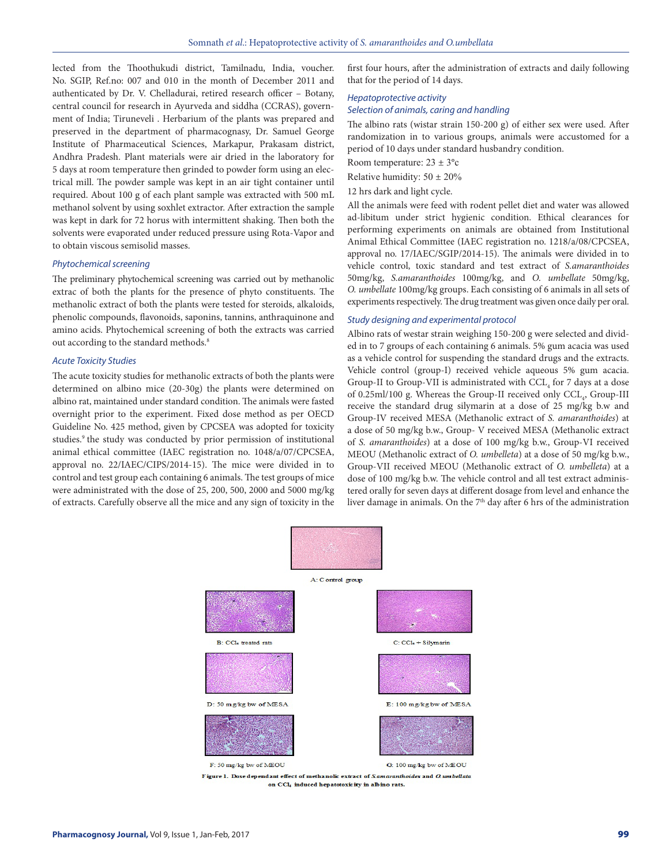lected from the Thoothukudi district, Tamilnadu, India, voucher. No. SGIP, Ref.no: 007 and 010 in the month of December 2011 and authenticated by Dr. V. Chelladurai, retired research officer – Botany, central council for research in Ayurveda and siddha (CCRAS), government of India; Tiruneveli . Herbarium of the plants was prepared and preserved in the department of pharmacognasy, Dr. Samuel George Institute of Pharmaceutical Sciences, Markapur, Prakasam district, Andhra Pradesh. Plant materials were air dried in the laboratory for 5 days at room temperature then grinded to powder form using an electrical mill. The powder sample was kept in an air tight container until required. About 100 g of each plant sample was extracted with 500 mL methanol solvent by using soxhlet extractor. After extraction the sample was kept in dark for 72 horus with intermittent shaking. Then both the solvents were evaporated under reduced pressure using Rota-Vapor and to obtain viscous semisolid masses.

#### *Phytochemical screening*

The preliminary phytochemical screening was carried out by methanolic extrac of both the plants for the presence of phyto constituents. The methanolic extract of both the plants were tested for steroids, alkaloids, phenolic compounds, flavonoids, saponins, tannins, anthraquinone and amino acids. Phytochemical screening of both the extracts was carried out according to the standard methods.<sup>8</sup>

#### *Acute Toxicity Studies*

The acute toxicity studies for methanolic extracts of both the plants were determined on albino mice (20-30g) the plants were determined on albino rat, maintained under standard condition. The animals were fasted overnight prior to the experiment. Fixed dose method as per OECD Guideline No. 425 method, given by CPCSEA was adopted for toxicity studies.<sup>9</sup> the study was conducted by prior permission of institutional animal ethical committee (IAEC registration no. 1048/a/07/CPCSEA, approval no. 22/IAEC/CIPS/2014-15). The mice were divided in to control and test group each containing 6 animals. The test groups of mice were administrated with the dose of 25, 200, 500, 2000 and 5000 mg/kg of extracts. Carefully observe all the mice and any sign of toxicity in the

first four hours, after the administration of extracts and daily following that for the period of 14 days.

## *Hepatoprotective activity Selection of animals, caring and handling*

The albino rats (wistar strain 150-200 g) of either sex were used. After randomization in to various groups, animals were accustomed for a period of 10 days under standard husbandry condition.

Room temperature:  $23 \pm 3^{\circ}c$ 

Relative humidity:  $50 \pm 20\%$ 

12 hrs dark and light cycle.

All the animals were feed with rodent pellet diet and water was allowed ad-libitum under strict hygienic condition. Ethical clearances for performing experiments on animals are obtained from Institutional Animal Ethical Committee (IAEC registration no. 1218/a/08/CPCSEA, approval no. 17/IAEC/SGIP/2014-15). The animals were divided in to vehicle control, toxic standard and test extract of *S.amaranthoides*  50mg/kg, *S.amaranthoides* 100mg/kg, and *O. umbellate* 50mg/kg, *O. umbellate* 100mg/kg groups. Each consisting of 6 animals in all sets of experiments respectively. The drug treatment was given once daily per oral.

#### *Study designing and experimental protocol*

Albino rats of westar strain weighing 150-200 g were selected and divided in to 7 groups of each containing 6 animals. 5% gum acacia was used as a vehicle control for suspending the standard drugs and the extracts. Vehicle control (group-I) received vehicle aqueous 5% gum acacia. Group-II to Group-VII is administrated with  $\mathrm{CCL}_4$  for 7 days at a dose of 0.25ml/100 g. Whereas the Group-II received only CCL<sub>4</sub>, Group-III receive the standard drug silymarin at a dose of 25 mg/kg b.w and Group-IV received MESA (Methanolic extract of *S. amaranthoides*) at a dose of 50 mg/kg b.w., Group- V received MESA (Methanolic extract of *S. amaranthoides*) at a dose of 100 mg/kg b.w., Group-VI received MEOU (Methanolic extract of *O. umbelleta*) at a dose of 50 mg/kg b.w., Group-VII received MEOU (Methanolic extract of *O. umbelleta*) at a dose of 100 mg/kg b.w. The vehicle control and all test extract administered orally for seven days at different dosage from level and enhance the liver damage in animals. On the 7<sup>th</sup> day after 6 hrs of the administration



Figure 1. Dose dependant effect of methanolic extract of Samaranthoides and O.umbellate on CCl4 induced hepatotoxicity in albino rats.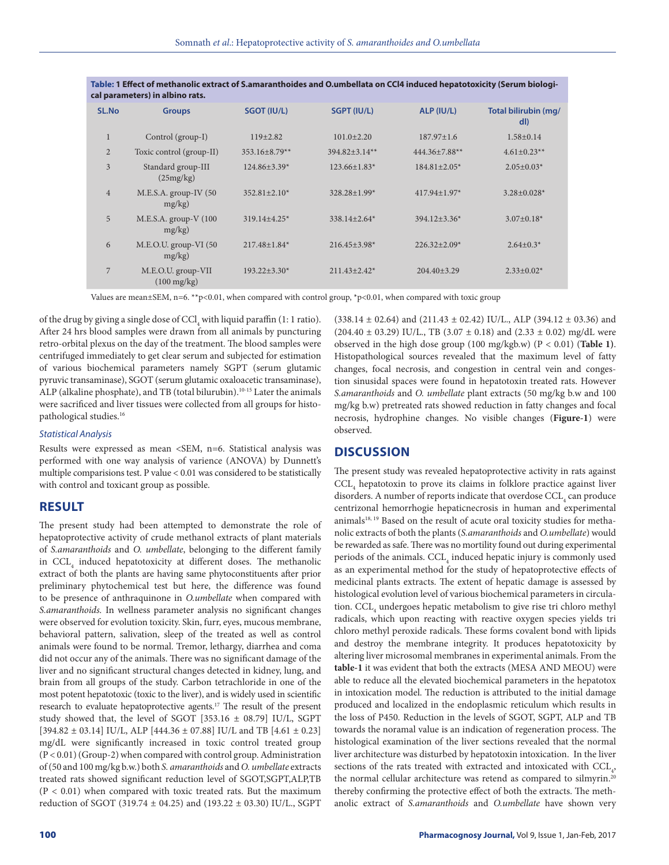| cal parameters) in albino rats. |                                             |                     |                     |                    |                             |
|---------------------------------|---------------------------------------------|---------------------|---------------------|--------------------|-----------------------------|
| SL.No                           | <b>Groups</b>                               | SGOT (IU/L)         | SGPT (IU/L)         | ALP (IU/L)         | Total bilirubin (mg/<br>dl) |
| $\mathbf{1}$                    | Control (group-I)                           | $119 + 2.82$        | $101.0 \pm 2.20$    | $187.97 + 1.6$     | $1.58 + 0.14$               |
| $\overline{2}$                  | Toxic control (group-II)                    | $353.16 \pm 8.79**$ | 394.82±3.14**       | 444.36±7.88**      | $4.61 \pm 0.23$ **          |
| 3                               | Standard group-III<br>(25mg/kg)             | $124.86\pm3.39*$    | $123.66\pm1.83*$    | $184.81 \pm 2.05*$ | $2.05 \pm 0.03*$            |
| $\overline{4}$                  | $M.E.S.A.$ group-IV (50<br>$mg/kg$ )        | $352.81 + 2.10*$    | $328.28 + 1.99*$    | $417.94 + 1.97*$   | $3.28 \pm 0.028$ *          |
| $\overline{5}$                  | $M.E.S.A.$ group- $V(100$<br>$mg/kg$ )      | $319.14 + 4.25*$    | $338.14 + 2.64*$    | $394.12 \pm 3.36*$ | $3.07 \pm 0.18*$            |
| 6                               | M.E.O.U. group-VI (50<br>mg/kg)             | $217.48 + 1.84*$    | $216.45 \pm 3.98$ * | $226.32 \pm 2.09*$ | $2.64 \pm 0.3*$             |
| 7                               | M.E.O.U. group-VII<br>$(100 \text{ mg/kg})$ | $193.22 \pm 3.30*$  | $211.43 \pm 2.42^*$ | $204.40 \pm 3.29$  | $2.33 \pm 0.02^*$           |

**Table: 1 Effect of methanolic extract of S.amaranthoides and O.umbellata on CCl4 induced hepatotoxicity (Serum biologi-**

Values are mean±SEM, n=6. \*\*p<0.01, when compared with control group, \*p<0.01, when compared with toxic group

of the drug by giving a single dose of  $\mathrm{CCl}_4$  with liquid paraffin (1: 1 ratio). After 24 hrs blood samples were drawn from all animals by puncturing retro-orbital plexus on the day of the treatment. The blood samples were centrifuged immediately to get clear serum and subjected for estimation of various biochemical parameters namely SGPT (serum glutamic pyruvic transaminase), SGOT (serum glutamic oxaloacetic transaminase), ALP (alkaline phosphate), and TB (total bilurubin).<sup>10-15</sup> Later the animals were sacrificed and liver tissues were collected from all groups for histopathological studies.16

#### *Statistical Analysis*

Results were expressed as mean <SEM, n=6. Statistical analysis was performed with one way analysis of varience (ANOVA) by Dunnett's multiple comparisions test. P value < 0.01 was considered to be statistically with control and toxicant group as possible.

## **RESULT**

The present study had been attempted to demonstrate the role of hepatoprotective activity of crude methanol extracts of plant materials of *S.amaranthoids* and *O. umbellate*, belonging to the different family in CCL<sub>4</sub> induced hepatotoxicity at different doses. The methanolic extract of both the plants are having same phytoconstituents after prior preliminary phytochemical test but here, the difference was found to be presence of anthraquinone in *O.umbellate* when compared with *S.amaranthoids.* In wellness parameter analysis no significant changes were observed for evolution toxicity. Skin, furr, eyes, mucous membrane, behavioral pattern, salivation, sleep of the treated as well as control animals were found to be normal. Tremor, lethargy, diarrhea and coma did not occur any of the animals. There was no significant damage of the liver and no significant structural changes detected in kidney, lung, and brain from all groups of the study. Carbon tetrachloride in one of the most potent hepatotoxic (toxic to the liver), and is widely used in scientific research to evaluate hepatoprotective agents.17 The result of the present study showed that, the level of SGOT [353.16 ± 08.79] IU/L, SGPT [394.82 ± 03.14] IU/L, ALP [444.36 ± 07.88] IU/L and TB [4.61 ± 0.23] mg/dL were significantly increased in toxic control treated group (P < 0.01) (Group-2) when compared with control group. Administration of (50 and 100 mg/kg b.w.) both *S. amaranthoids* and *O. umbellate* extracts treated rats showed significant reduction level of SGOT,SGPT,ALP,TB  $(P < 0.01)$  when compared with toxic treated rats. But the maximum reduction of SGOT (319.74 ± 04.25) and (193.22 ± 03.30) IU/L., SGPT

(338.14  $\pm$  02.64) and (211.43  $\pm$  02.42) IU/L., ALP (394.12  $\pm$  03.36) and  $(204.40 \pm 03.29)$  IU/L., TB  $(3.07 \pm 0.18)$  and  $(2.33 \pm 0.02)$  mg/dL were observed in the high dose group (100 mg/kgb.w) (P < 0.01) (**Table 1)**. Histopathological sources revealed that the maximum level of fatty changes, focal necrosis, and congestion in central vein and congestion sinusidal spaces were found in hepatotoxin treated rats. However *S.amaranthoids* and *O. umbellate* plant extracts (50 mg/kg b.w and 100 mg/kg b.w) pretreated rats showed reduction in fatty changes and focal necrosis, hydrophine changes. No visible changes (**Figure-1**) were observed.

## **DISCUSSION**

The present study was revealed hepatoprotective activity in rats against  $\mathrm{CCL}_4$  hepatotoxin to prove its claims in folklore practice against liver disorders. A number of reports indicate that overdose  $\mathrm{CCL}_4$  can produce centrizonal hemorrhogie hepaticnecrosis in human and experimental animals<sup>18, 19</sup> Based on the result of acute oral toxicity studies for methanolic extracts of both the plants (*S.amaranthoids* and *O.umbellate*) would be rewarded as safe. There was no mortility found out during experimental periods of the animals.  $\mathrm{CCL}_4$  induced hepatic injury is commonly used as an experimental method for the study of hepatoprotective effects of medicinal plants extracts. The extent of hepatic damage is assessed by histological evolution level of various biochemical parameters in circulation. CCL<sub>4</sub> undergoes hepatic metabolism to give rise tri chloro methyl radicals, which upon reacting with reactive oxygen species yields tri chloro methyl peroxide radicals. These forms covalent bond with lipids and destroy the membrane integrity. It produces hepatotoxicity by altering liver microsomal membranes in experimental animals. From the **table-1** it was evident that both the extracts (MESA AND MEOU) were able to reduce all the elevated biochemical parameters in the hepatotox in intoxication model. The reduction is attributed to the initial damage produced and localized in the endoplasmic reticulum which results in the loss of P450. Reduction in the levels of SGOT, SGPT, ALP and TB towards the noramal value is an indication of regeneration process. The histological examination of the liver sections revealed that the normal liver architecture was disturbed by hepatotoxin intoxication. In the liver sections of the rats treated with extracted and intoxicated with  $\text{CCL}_4$ , the normal cellular architecture was retend as compared to silmyrin.<sup>20</sup> thereby confirming the protective effect of both the extracts. The methanolic extract of *S.amaranthoids* and *O.umbellate* have shown very